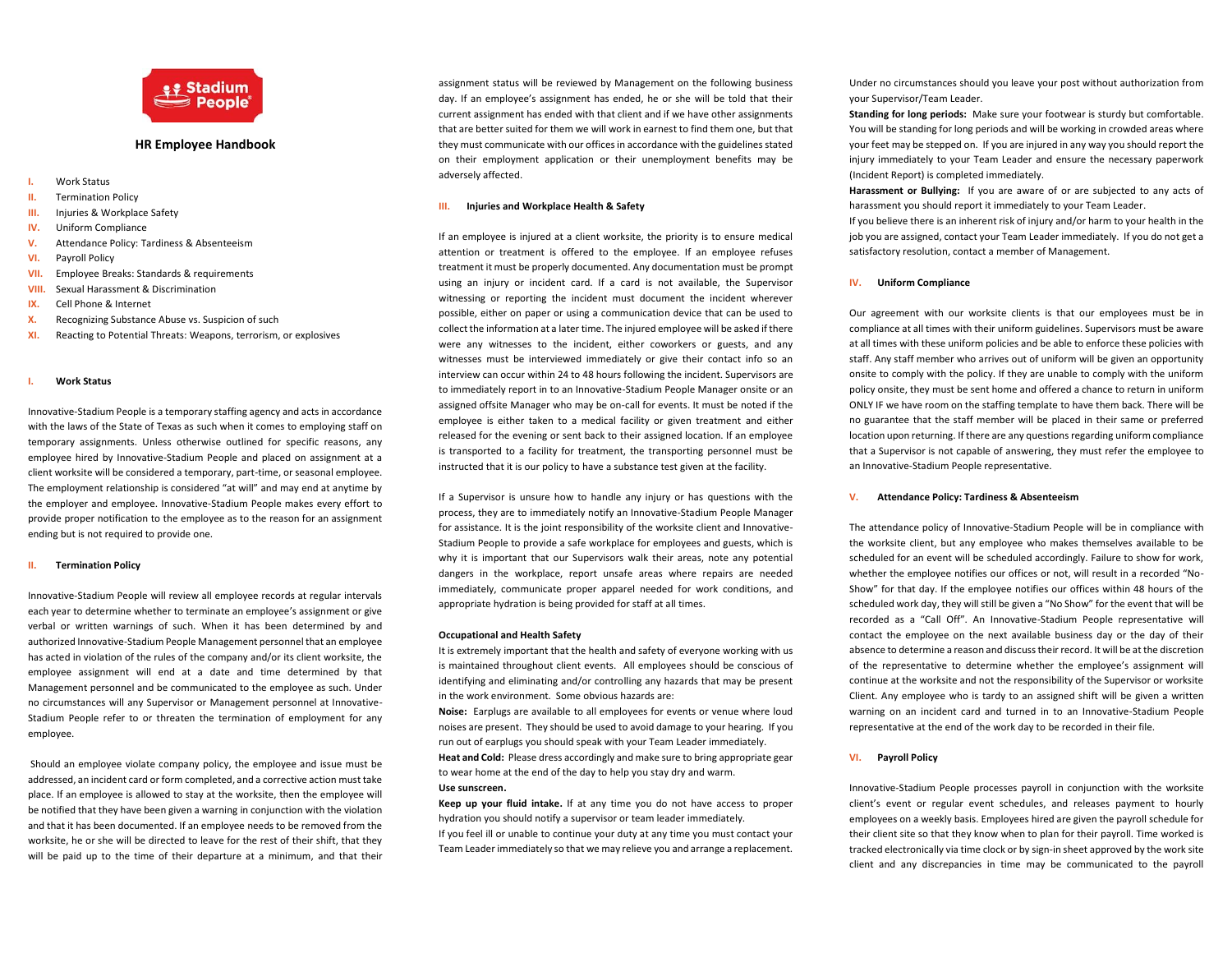

# **HR Employee Handbook**

- **I.** Work Status
- **II.** Termination Policy
- **III.** Injuries & Workplace Safety
- **IV.** Uniform Compliance
- **V.** Attendance Policy: Tardiness & Absenteeism
- **VI.** Payroll Policy
- **VII.** Employee Breaks: Standards & requirements
- **VIII.** Sexual Harassment & Discrimination
- **IX.** Cell Phone & Internet
- **X.** Recognizing Substance Abuse vs. Suspicion of such
- **XI.** Reacting to Potential Threats: Weapons, terrorism, or explosives

#### **I. Work Status**

Innovative-Stadium People is a temporary staffing agency and acts in accordance with the laws of the State of Texas as such when it comes to employing staff on temporary assignments. Unless otherwise outlined for specific reasons, any employee hired by Innovative-Stadium People and placed on assignment at a client worksite will be considered a temporary, part-time, or seasonal employee. The employment relationship is considered "at will" and may end at anytime by the employer and employee. Innovative-Stadium People makes every effort to provide proper notification to the employee as to the reason for an assignment ending but is not required to provide one.

## **Termination Policy**

Innovative-Stadium People will review all employee records at regular intervals each year to determine whether to terminate an employee's assignment or give verbal or written warnings of such. When it has been determined by and authorized Innovative-Stadium People Management personnel that an employee has acted in violation of the rules of the company and/or its client worksite, the employee assignment will end at a date and time determined by that Management personnel and be communicated to the employee as such. Under no circumstances will any Supervisor or Management personnel at Innovative-Stadium People refer to or threaten the termination of employment for any employee.

Should an employee violate company policy, the employee and issue must be addressed, an incident card or form completed, and a corrective action must take place. If an employee is allowed to stay at the worksite, then the employee will be notified that they have been given a warning in conjunction with the violation and that it has been documented. If an employee needs to be removed from the worksite, he or she will be directed to leave for the rest of their shift, that they will be paid up to the time of their departure at a minimum, and that their

assignment status will be reviewed by Management on the following business day. If an employee's assignment has ended, he or she will be told that their current assignment has ended with that client and if we have other assignments that are better suited for them we will work in earnest to find them one, but that they must communicate with our offices in accordance with the guidelines stated on their employment application or their unemployment benefits may be adversely affected.

# **III. Injuries and Workplace Health & Safety**

If an employee is injured at a client worksite, the priority is to ensure medical attention or treatment is offered to the employee. If an employee refuses treatment it must be properly documented. Any documentation must be prompt using an injury or incident card. If a card is not available, the Supervisor witnessing or reporting the incident must document the incident wherever possible, either on paper or using a communication device that can be used to collect the information at a later time. The injured employee will be asked if there were any witnesses to the incident, either coworkers or guests, and any witnesses must be interviewed immediately or give their contact info so an interview can occur within 24 to 48 hours following the incident. Supervisors are to immediately report in to an Innovative-Stadium People Manager onsite or an assigned offsite Manager who may be on-call for events. It must be noted if the employee is either taken to a medical facility or given treatment and either released for the evening or sent back to their assigned location. If an employee is transported to a facility for treatment, the transporting personnel must be instructed that it is our policy to have a substance test given at the facility.

If a Supervisor is unsure how to handle any injury or has questions with the process, they are to immediately notify an Innovative-Stadium People Manager for assistance. It is the joint responsibility of the worksite client and Innovative-Stadium People to provide a safe workplace for employees and guests, which is why it is important that our Supervisors walk their areas, note any potential dangers in the workplace, report unsafe areas where repairs are needed immediately, communicate proper apparel needed for work conditions, and appropriate hydration is being provided for staff at all times.

## **Occupational and Health Safety**

It is extremely important that the health and safety of everyone working with us is maintained throughout client events. All employees should be conscious of identifying and eliminating and/or controlling any hazards that may be present in the work environment. Some obvious hazards are:

**Noise:** Earplugs are available to all employees for events or venue where loud noises are present. They should be used to avoid damage to your hearing. If you run out of earplugs you should speak with your Team Leader immediately. **Heat and Cold:** Please dress accordingly and make sure to bring appropriate gear to wear home at the end of the day to help you stay dry and warm. **Use sunscreen.**

**Keep up your fluid intake.** If at any time you do not have access to proper hydration you should notify a supervisor or team leader immediately. If you feel ill or unable to continue your duty at any time you must contact your Team Leader immediately so that we may relieve you and arrange a replacement.

Under no circumstances should you leave your post without authorization from your Supervisor/Team Leader.

**Standing for long periods:** Make sure your footwear is sturdy but comfortable. You will be standing for long periods and will be working in crowded areas where your feet may be stepped on. If you are injured in any way you should report the injury immediately to your Team Leader and ensure the necessary paperwork (Incident Report) is completed immediately.

**Harassment or Bullying:** If you are aware of or are subjected to any acts of harassment you should report it immediately to your Team Leader.

If you believe there is an inherent risk of injury and/or harm to your health in the job you are assigned, contact your Team Leader immediately. If you do not get a satisfactory resolution, contact a member of Management.

## **IV. Uniform Compliance**

Our agreement with our worksite clients is that our employees must be in compliance at all times with their uniform guidelines. Supervisors must be aware at all times with these uniform policies and be able to enforce these policies with staff. Any staff member who arrives out of uniform will be given an opportunity onsite to comply with the policy. If they are unable to comply with the uniform policy onsite, they must be sent home and offered a chance to return in uniform ONLY IF we have room on the staffing template to have them back. There will be no guarantee that the staff member will be placed in their same or preferred location upon returning. If there are any questions regarding uniform compliance that a Supervisor is not capable of answering, they must refer the employee to an Innovative-Stadium People representative.

## **V. Attendance Policy: Tardiness & Absenteeism**

The attendance policy of Innovative-Stadium People will be in compliance with the worksite client, but any employee who makes themselves available to be scheduled for an event will be scheduled accordingly. Failure to show for work, whether the employee notifies our offices or not, will result in a recorded "No-Show" for that day. If the employee notifies our offices within 48 hours of the scheduled work day, they will still be given a "No Show" for the event that will be recorded as a "Call Off". An Innovative-Stadium People representative will contact the employee on the next available business day or the day of their absence to determine a reason and discuss their record. It will be at the discretion of the representative to determine whether the employee's assignment will continue at the worksite and not the responsibility of the Supervisor or worksite Client. Any employee who is tardy to an assigned shift will be given a written warning on an incident card and turned in to an Innovative-Stadium People representative at the end of the work day to be recorded in their file.

## **VI. Payroll Policy**

Innovative-Stadium People processes payroll in conjunction with the worksite client's event or regular event schedules, and releases payment to hourly employees on a weekly basis. Employees hired are given the payroll schedule for their client site so that they know when to plan for their payroll. Time worked is tracked electronically via time clock or by sign-in sheet approved by the work site client and any discrepancies in time may be communicated to the payroll